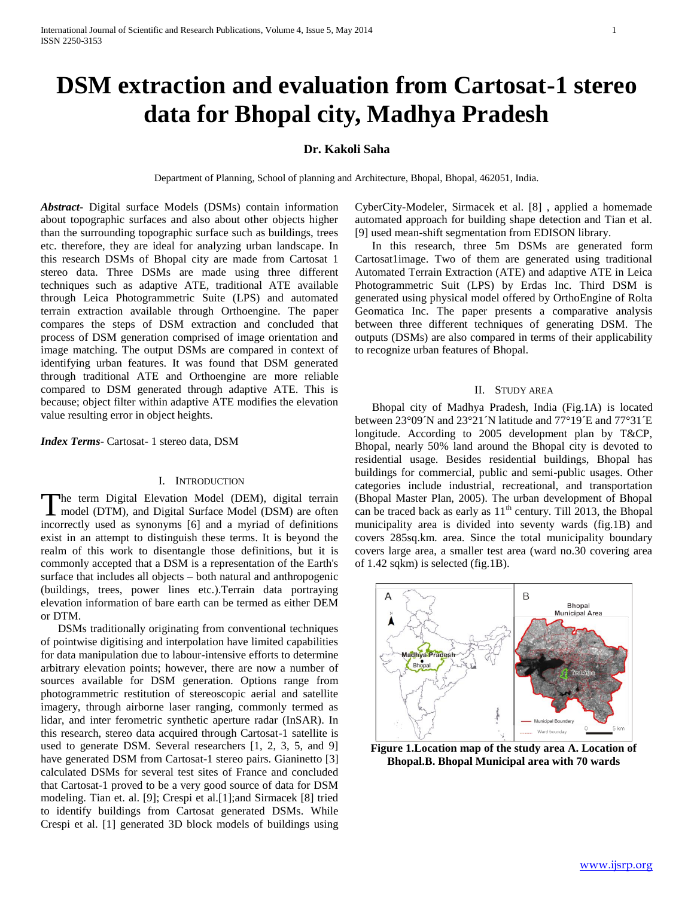# **DSM extraction and evaluation from Cartosat-1 stereo data for Bhopal city, Madhya Pradesh**

# **Dr. Kakoli Saha**

Department of Planning, School of planning and Architecture, Bhopal, Bhopal, 462051, India.

*Abstract***-** Digital surface Models (DSMs) contain information about topographic surfaces and also about other objects higher than the surrounding topographic surface such as buildings, trees etc. therefore, they are ideal for analyzing urban landscape. In this research DSMs of Bhopal city are made from Cartosat 1 stereo data. Three DSMs are made using three different techniques such as adaptive ATE, traditional ATE available through Leica Photogrammetric Suite (LPS) and automated terrain extraction available through Orthoengine. The paper compares the steps of DSM extraction and concluded that process of DSM generation comprised of image orientation and image matching. The output DSMs are compared in context of identifying urban features. It was found that DSM generated through traditional ATE and Orthoengine are more reliable compared to DSM generated through adaptive ATE. This is because; object filter within adaptive ATE modifies the elevation value resulting error in object heights.

*Index Terms*- Cartosat- 1 stereo data, DSM

# I. INTRODUCTION

The term Digital Elevation Model (DEM), digital terrain The term Digital Elevation Model (DEM), digital terrain<br>model (DTM), and Digital Surface Model (DSM) are often incorrectly used as synonyms [6] and a myriad of definitions exist in an attempt to distinguish these terms. It is beyond the realm of this work to disentangle those definitions, but it is commonly accepted that a DSM is a representation of the Earth's surface that includes all objects – both natural and anthropogenic (buildings, trees, power lines etc.).Terrain data portraying elevation information of bare earth can be termed as either DEM or DTM.

 DSMs traditionally originating from conventional techniques of pointwise digitising and interpolation have limited capabilities for data manipulation due to labour-intensive efforts to determine arbitrary elevation points; however, there are now a number of sources available for DSM generation. Options range from photogrammetric restitution of stereoscopic aerial and satellite imagery, through airborne laser ranging, commonly termed as lidar, and inter ferometric synthetic aperture radar (InSAR). In this research, stereo data acquired through Cartosat-1 satellite is used to generate DSM. Several researchers [1, 2, 3, 5, and 9] have generated DSM from Cartosat-1 stereo pairs. Gianinetto [3] calculated DSMs for several test sites of France and concluded that Cartosat-1 proved to be a very good source of data for DSM modeling. Tian et. al. [9]; Crespi et al.[1];and Sirmacek [8] tried to identify buildings from Cartosat generated DSMs. While Crespi et al. [1] generated 3D block models of buildings using

CyberCity-Modeler, Sirmacek et al. [8] , applied a homemade automated approach for building shape detection and Tian et al. [9] used mean-shift segmentation from EDISON library.

 In this research, three 5m DSMs are generated form Cartosat1image. Two of them are generated using traditional Automated Terrain Extraction (ATE) and adaptive ATE in Leica Photogrammetric Suit (LPS) by Erdas Inc. Third DSM is generated using physical model offered by OrthoEngine of Rolta Geomatica Inc. The paper presents a comparative analysis between three different techniques of generating DSM. The outputs (DSMs) are also compared in terms of their applicability to recognize urban features of Bhopal.

## II. STUDY AREA

 Bhopal city of Madhya Pradesh, India (Fig.1A) is located between 23°09´N and 23°21´N latitude and 77°19<sup> $\rm E$ </sup> and 77°31 $\rm E$ longitude. According to 2005 development plan by T&CP, Bhopal, nearly 50% land around the Bhopal city is devoted to residential usage. Besides residential buildings, Bhopal has buildings for commercial, public and semi-public usages. Other categories include industrial, recreational, and transportation (Bhopal Master Plan, 2005). The urban development of Bhopal can be traced back as early as  $11<sup>th</sup>$  century. Till 2013, the Bhopal municipality area is divided into seventy wards (fig.1B) and covers 285sq.km. area. Since the total municipality boundary covers large area, a smaller test area (ward no.30 covering area of 1.42 sqkm) is selected (fig.1B).



**Figure 1.Location map of the study area A. Location of Bhopal.B. Bhopal Municipal area with 70 wards**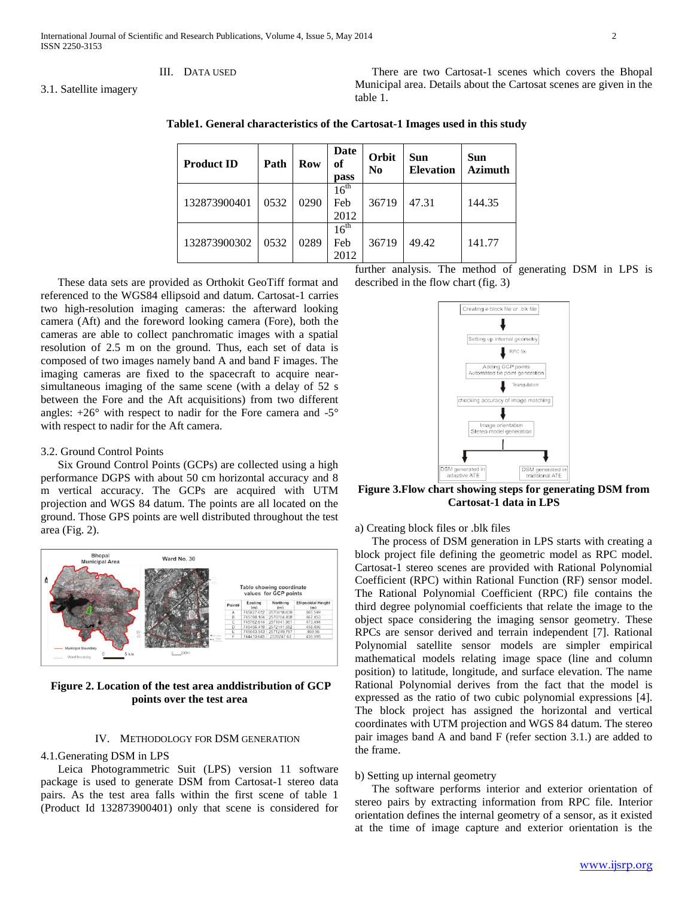## III. DATA USED

3.1. Satellite imagery

 There are two Cartosat-1 scenes which covers the Bhopal Municipal area. Details about the Cartosat scenes are given in the table 1.

**Table1. General characteristics of the Cartosat-1 Images used in this study**

| <b>Product ID</b> | Path | Row  | Date<br>of<br>pass              | Orbit<br>N <sub>0</sub> | <b>Sun</b><br><b>Elevation</b> | Sun<br><b>Azimuth</b> |
|-------------------|------|------|---------------------------------|-------------------------|--------------------------------|-----------------------|
| 132873900401      | 0532 | 0290 | $16^{\text{th}}$<br>Feb<br>2012 | 36719                   | 47.31                          | 144.35                |
| 132873900302      | 0532 | 0289 | $16^{\text{th}}$<br>Feb<br>2012 | 36719                   | 49.42                          | 141.77                |

 These data sets are provided as Orthokit GeoTiff format and referenced to the WGS84 ellipsoid and datum. Cartosat-1 carries two high-resolution imaging cameras: the afterward looking camera (Aft) and the foreword looking camera (Fore), both the cameras are able to collect panchromatic images with a spatial resolution of 2.5 m on the ground. Thus, each set of data is composed of two images namely band A and band F images. The imaging cameras are fixed to the spacecraft to acquire nearsimultaneous imaging of the same scene (with a delay of 52 s between the Fore and the Aft acquisitions) from two different angles:  $+26^{\circ}$  with respect to nadir for the Fore camera and  $-5^{\circ}$ with respect to nadir for the Aft camera.

## 3.2. Ground Control Points

 Six Ground Control Points (GCPs) are collected using a high performance DGPS with about 50 cm horizontal accuracy and 8 m vertical accuracy. The GCPs are acquired with UTM projection and WGS 84 datum. The points are all located on the ground. Those GPS points are well distributed throughout the test area (Fig. 2).



**Figure 2. Location of the test area anddistribution of GCP points over the test area**

# IV. METHODOLOGY FOR DSM GENERATION

# 4.1.Generating DSM in LPS

 Leica Photogrammetric Suit (LPS) version 11 software package is used to generate DSM from Cartosat-1 stereo data pairs. As the test area falls within the first scene of table 1 (Product Id 132873900401) only that scene is considered for

further analysis. The method of generating DSM in LPS is described in the flow chart (fig. 3)



**Figure 3.Flow chart showing steps for generating DSM from Cartosat-1 data in LPS**

a) Creating block files or .blk files

 The process of DSM generation in LPS starts with creating a block project file defining the geometric model as RPC model. Cartosat-1 stereo scenes are provided with Rational Polynomial Coefficient (RPC) within Rational Function (RF) sensor model. The Rational Polynomial Coefficient (RPC) file contains the third degree polynomial coefficients that relate the image to the object space considering the imaging sensor geometry. These RPCs are sensor derived and terrain independent [7]. Rational Polynomial satellite sensor models are simpler empirical mathematical models relating image space (line and column position) to latitude, longitude, and surface elevation. The name Rational Polynomial derives from the fact that the model is expressed as the ratio of two cubic polynomial expressions [4]. The block project has assigned the horizontal and vertical coordinates with UTM projection and WGS 84 datum. The stereo pair images band A and band F (refer section 3.1.) are added to the frame.

#### b) Setting up internal geometry

 The software performs interior and exterior orientation of stereo pairs by extracting information from RPC file. Interior orientation defines the internal geometry of a sensor, as it existed at the time of image capture and exterior orientation is the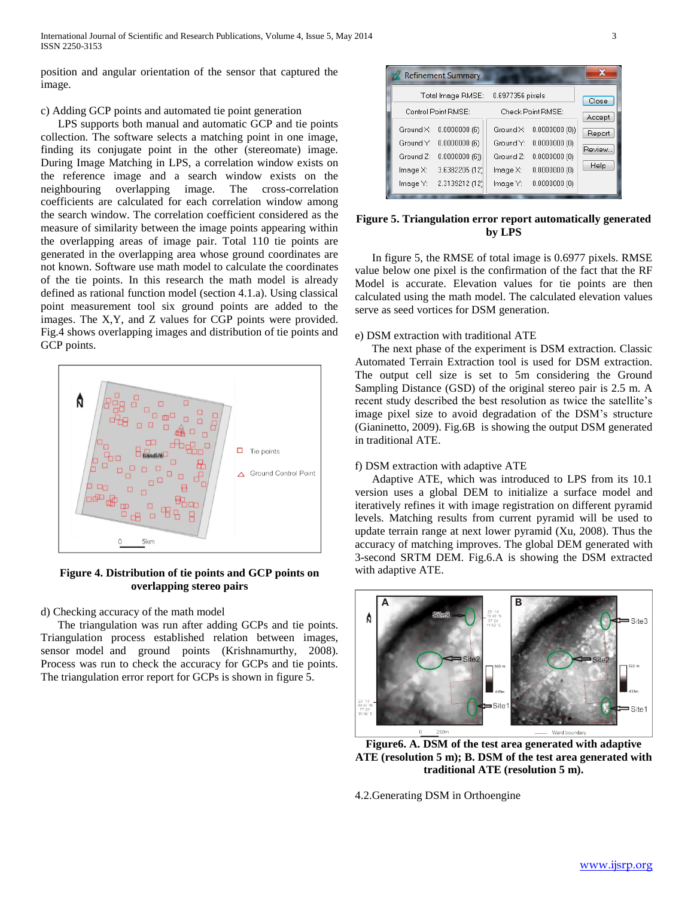position and angular orientation of the sensor that captured the image.

# c) Adding GCP points and automated tie point generation

 LPS supports both manual and automatic GCP and tie points collection. The software selects a matching point in one image, finding its conjugate point in the other (stereomate) image. During Image Matching in LPS, a correlation window exists on the reference image and a search window exists on the neighbouring overlapping image. The cross-correlation coefficients are calculated for each correlation window among the search window. The correlation coefficient considered as the measure of similarity between the image points appearing within the overlapping areas of image pair. Total 110 tie points are generated in the overlapping area whose ground coordinates are not known. Software use math model to calculate the coordinates of the tie points. In this research the math model is already defined as rational function model (section 4.1.a). Using classical point measurement tool six ground points are added to the images. The X,Y, and Z values for CGP points were provided. Fig.4 shows overlapping images and distribution of tie points and GCP points.



**Figure 4. Distribution of tie points and GCP points on overlapping stereo pairs**

d) Checking accuracy of the math model

 The triangulation was run after adding GCPs and tie points. Triangulation process established relation between images, sensor model and ground points (Krishnamurthy, 2008). Process was run to check the accuracy for GCPs and tie points. The triangulation error report for GCPs is shown in figure 5.



# **Figure 5. Triangulation error report automatically generated by LPS**

 In figure 5, the RMSE of total image is 0.6977 pixels. RMSE value below one pixel is the confirmation of the fact that the RF Model is accurate. Elevation values for tie points are then calculated using the math model. The calculated elevation values serve as seed vortices for DSM generation.

# e) DSM extraction with traditional ATE

 The next phase of the experiment is DSM extraction. Classic Automated Terrain Extraction tool is used for DSM extraction. The output cell size is set to 5m considering the Ground Sampling Distance (GSD) of the original stereo pair is 2.5 m. A recent study described the best resolution as twice the satellite's image pixel size to avoid degradation of the DSM's structure (Gianinetto, 2009). Fig.6B is showing the output DSM generated in traditional ATE.

# f) DSM extraction with adaptive ATE

 Adaptive ATE, which was introduced to LPS from its 10.1 version uses a global DEM to initialize a surface model and iteratively refines it with image registration on different pyramid levels. Matching results from current pyramid will be used to update terrain range at next lower pyramid (Xu, 2008). Thus the accuracy of matching improves. The global DEM generated with 3-second SRTM DEM. Fig.6.A is showing the DSM extracted with adaptive ATE.



**Figure6. A. DSM of the test area generated with adaptive ATE (resolution 5 m); B. DSM of the test area generated with traditional ATE (resolution 5 m).**

4.2.Generating DSM in Orthoengine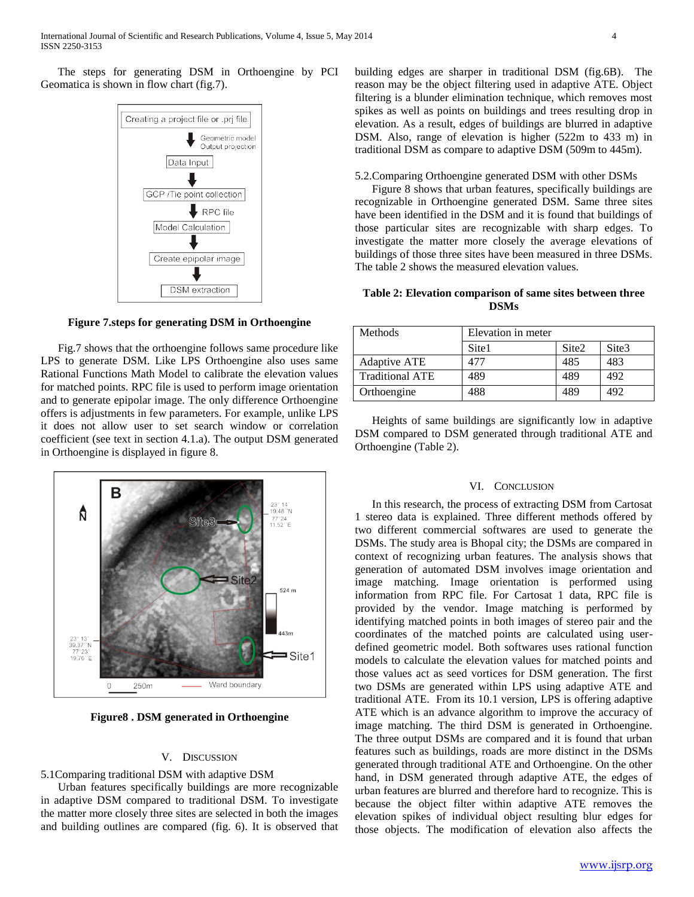The steps for generating DSM in Orthoengine by PCI Geomatica is shown in flow chart (fig.7).



**Figure 7.steps for generating DSM in Orthoengine**

 Fig.7 shows that the orthoengine follows same procedure like LPS to generate DSM. Like LPS Orthoengine also uses same Rational Functions Math Model to calibrate the elevation values for matched points. RPC file is used to perform image orientation and to generate epipolar image. The only difference Orthoengine offers is adjustments in few parameters. For example, unlike LPS it does not allow user to set search window or correlation coefficient (see text in section 4.1.a). The output DSM generated in Orthoengine is displayed in figure 8.



**Figure8 . DSM generated in Orthoengine**

## V. DISCUSSION

5.1Comparing traditional DSM with adaptive DSM

 Urban features specifically buildings are more recognizable in adaptive DSM compared to traditional DSM. To investigate the matter more closely three sites are selected in both the images and building outlines are compared (fig. 6). It is observed that

building edges are sharper in traditional DSM (fig.6B). The reason may be the object filtering used in adaptive ATE. Object filtering is a blunder elimination technique, which removes most spikes as well as points on buildings and trees resulting drop in elevation. As a result, edges of buildings are blurred in adaptive DSM. Also, range of elevation is higher (522m to 433 m) in traditional DSM as compare to adaptive DSM (509m to 445m).

5.2.Comparing Orthoengine generated DSM with other DSMs

 Figure 8 shows that urban features, specifically buildings are recognizable in Orthoengine generated DSM. Same three sites have been identified in the DSM and it is found that buildings of those particular sites are recognizable with sharp edges. To investigate the matter more closely the average elevations of buildings of those three sites have been measured in three DSMs. The table 2 shows the measured elevation values.

**Table 2: Elevation comparison of same sites between three DSMs**

| Methods                | Elevation in meter |                   |       |  |  |
|------------------------|--------------------|-------------------|-------|--|--|
|                        | Site1              | Site <sub>2</sub> | Site3 |  |  |
| Adaptive ATE           | 477                | 485               | 483   |  |  |
| <b>Traditional ATE</b> | 489                | 489               | 492   |  |  |
| Orthoengine            | 488                | 489               | 492   |  |  |

 Heights of same buildings are significantly low in adaptive DSM compared to DSM generated through traditional ATE and Orthoengine (Table 2).

#### VI. CONCLUSION

 In this research, the process of extracting DSM from Cartosat 1 stereo data is explained. Three different methods offered by two different commercial softwares are used to generate the DSMs. The study area is Bhopal city; the DSMs are compared in context of recognizing urban features. The analysis shows that generation of automated DSM involves image orientation and image matching. Image orientation is performed using information from RPC file. For Cartosat 1 data, RPC file is provided by the vendor. Image matching is performed by identifying matched points in both images of stereo pair and the coordinates of the matched points are calculated using userdefined geometric model. Both softwares uses rational function models to calculate the elevation values for matched points and those values act as seed vortices for DSM generation. The first two DSMs are generated within LPS using adaptive ATE and traditional ATE. From its 10.1 version, LPS is offering adaptive ATE which is an advance algorithm to improve the accuracy of image matching. The third DSM is generated in Orthoengine. The three output DSMs are compared and it is found that urban features such as buildings, roads are more distinct in the DSMs generated through traditional ATE and Orthoengine. On the other hand, in DSM generated through adaptive ATE, the edges of urban features are blurred and therefore hard to recognize. This is because the object filter within adaptive ATE removes the elevation spikes of individual object resulting blur edges for those objects. The modification of elevation also affects the